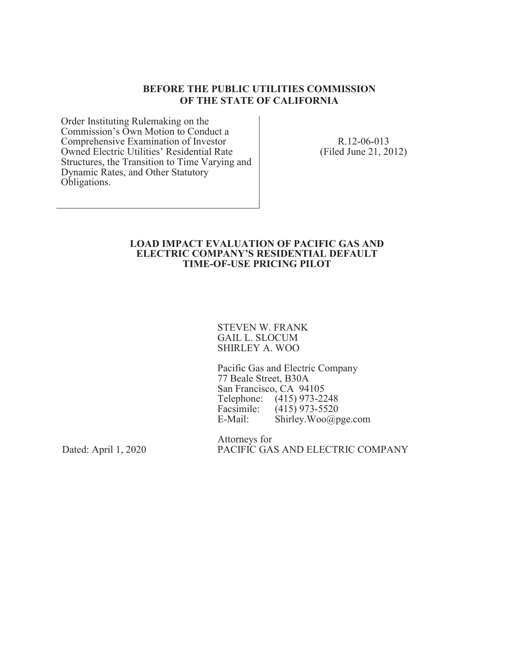#### **BEFORE THE PUBLIC UTILITIES COMMISSION OF THE STATE OF CALIFORNIA**

Order Instituting Rulemaking on the Commission's Own Motion to Conduct a Comprehensive Examination of Investor Owned Electric Utilities' Residential Rate Structures, the Transition to Time Varying and Dynamic Rates, and Other Statutory Obligations.

R.12-06-013 (Filed June 21, 2012)

#### **LOAD IMPACT EVALUATION OF PACIFIC GAS AND ELECTRIC COMPANY'S RESIDENTIAL DEFAULT TIME-OF-USE PRICING PILOT**

STEVEN W. FRANK GAIL L. SLOCUM SHIRLEY A. WOO

Pacific Gas and Electric Company 77 Beale Street, B30A San Francisco, CA 94105 Telephone: (415) 973-2248<br>Facsimile: (415) 973-5520 Facsimile: (415) 973-5520<br>E-Mail: Shirley.Woo@p  $\text{Shirley.Woo@pge.com}$ 

Dated: April 1, 2020

Attorneys for PACIFIC GAS AND ELECTRIC COMPANY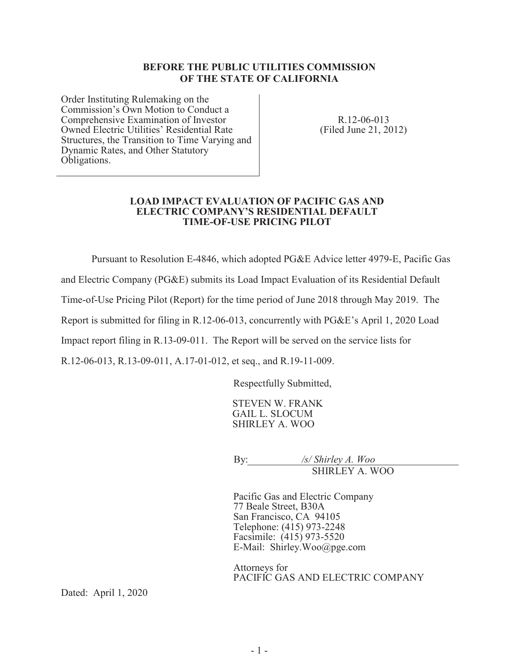#### **BEFORE THE PUBLIC UTILITIES COMMISSION OF THE STATE OF CALIFORNIA**

Order Instituting Rulemaking on the Commission's Own Motion to Conduct a Comprehensive Examination of Investor Owned Electric Utilities' Residential Rate Structures, the Transition to Time Varying and Dynamic Rates, and Other Statutory Obligations.

R.12-06-013 (Filed June 21, 2012)

#### **LOAD IMPACT EVALUATION OF PACIFIC GAS AND ELECTRIC COMPANY'S RESIDENTIAL DEFAULT TIME-OF-USE PRICING PILOT**

Pursuant to Resolution E-4846, which adopted PG&E Advice letter 4979-E, Pacific Gas

and Electric Company (PG&E) submits its Load Impact Evaluation of its Residential Default

Time-of-Use Pricing Pilot (Report) for the time period of June 2018 through May 2019. The

Report is submitted for filing in R.12-06-013, concurrently with PG&E's April 1, 2020 Load

Impact report filing in R.13-09-011. The Report will be served on the service lists for

R.12-06-013, R.13-09-011, A.17-01-012, et seq., and R.19-11-009.

Respectfully Submitted,

STEVEN W. FRANK GAIL L. SLOCUM SHIRLEY A. WOO

By: */s/ Shirley A. Woo* SHIRLEY A. WOO

Pacific Gas and Electric Company 77 Beale Street, B30A San Francisco, CA 94105 Telephone: (415) 973-2248 Facsimile: (415) 973-5520 E-Mail: Shirley.Woo@pge.com

Attorneys for PACIFIC GAS AND ELECTRIC COMPANY

Dated: April 1, 2020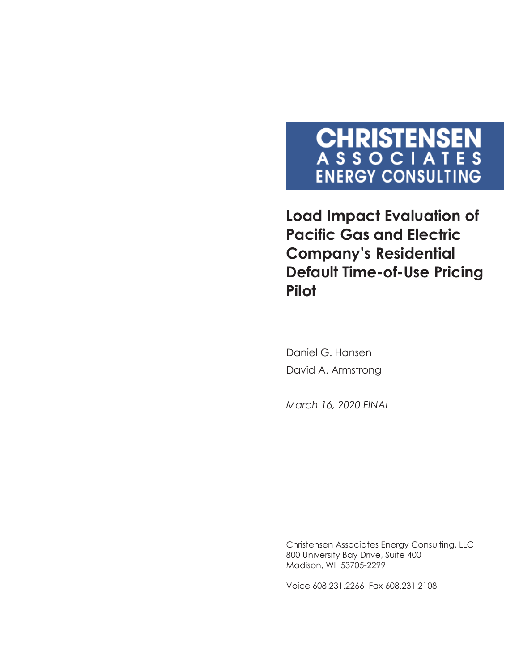# **CHRISTENSEN**<br>ASSOCIATES **ENERGY CONSULTING**

**Load Impact Evaluation of Pacific Gas and Electric Company's Residential Default Time-of-Use Pricing Pilot** 

Daniel G. Hansen David A. Armstrong

*March 16, 2020 FINAL*

Christensen Associates Energy Consulting, LLC 800 University Bay Drive, Suite 400 Madison, WI 53705-2299

Voice 608.231.2266 Fax 608.231.2108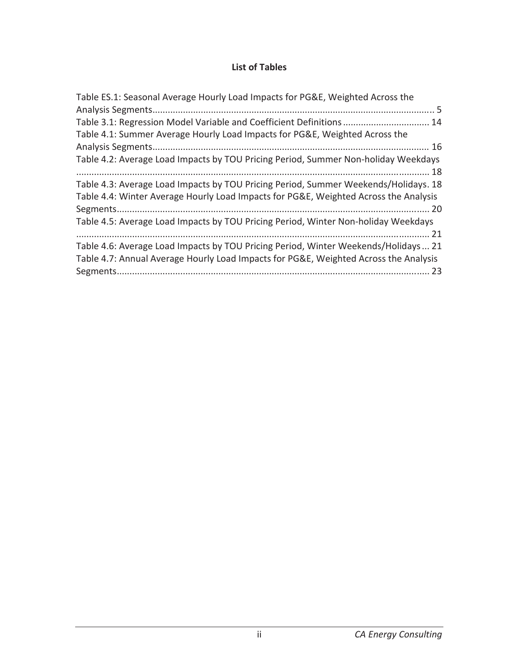### **List of Tables**

| Table ES.1: Seasonal Average Hourly Load Impacts for PG&E, Weighted Across the                                                                                              |
|-----------------------------------------------------------------------------------------------------------------------------------------------------------------------------|
|                                                                                                                                                                             |
| Table 3.1: Regression Model Variable and Coefficient Definitions  14                                                                                                        |
| Table 4.1: Summer Average Hourly Load Impacts for PG&E, Weighted Across the                                                                                                 |
|                                                                                                                                                                             |
| Table 4.2: Average Load Impacts by TOU Pricing Period, Summer Non-holiday Weekdays                                                                                          |
| Table 4.3: Average Load Impacts by TOU Pricing Period, Summer Weekends/Holidays. 18<br>Table 4.4: Winter Average Hourly Load Impacts for PG&E, Weighted Across the Analysis |
| Table 4.5: Average Load Impacts by TOU Pricing Period, Winter Non-holiday Weekdays<br>. 21                                                                                  |
| Table 4.6: Average Load Impacts by TOU Pricing Period, Winter Weekends/Holidays  21<br>Table 4.7: Annual Average Hourly Load Impacts for PG&E, Weighted Across the Analysis |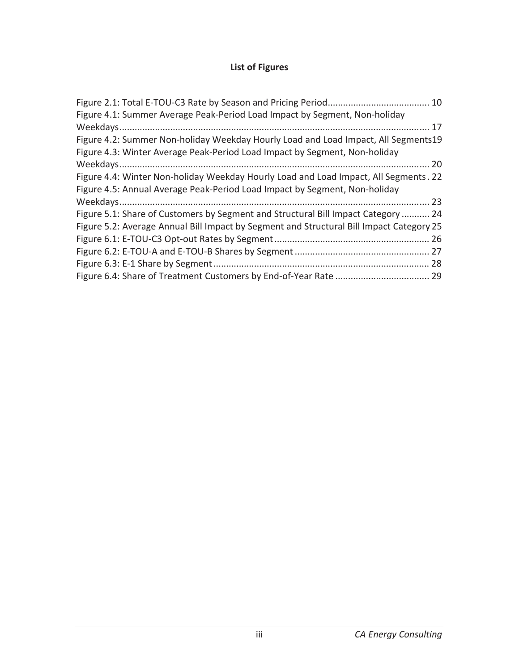### **List of Figures**

| Figure 4.1: Summer Average Peak-Period Load Impact by Segment, Non-holiday               |  |
|------------------------------------------------------------------------------------------|--|
|                                                                                          |  |
| Figure 4.2: Summer Non-holiday Weekday Hourly Load and Load Impact, All Segments19       |  |
| Figure 4.3: Winter Average Peak-Period Load Impact by Segment, Non-holiday               |  |
|                                                                                          |  |
| Figure 4.4: Winter Non-holiday Weekday Hourly Load and Load Impact, All Segments. 22     |  |
| Figure 4.5: Annual Average Peak-Period Load Impact by Segment, Non-holiday               |  |
|                                                                                          |  |
| Figure 5.1: Share of Customers by Segment and Structural Bill Impact Category  24        |  |
| Figure 5.2: Average Annual Bill Impact by Segment and Structural Bill Impact Category 25 |  |
|                                                                                          |  |
|                                                                                          |  |
|                                                                                          |  |
|                                                                                          |  |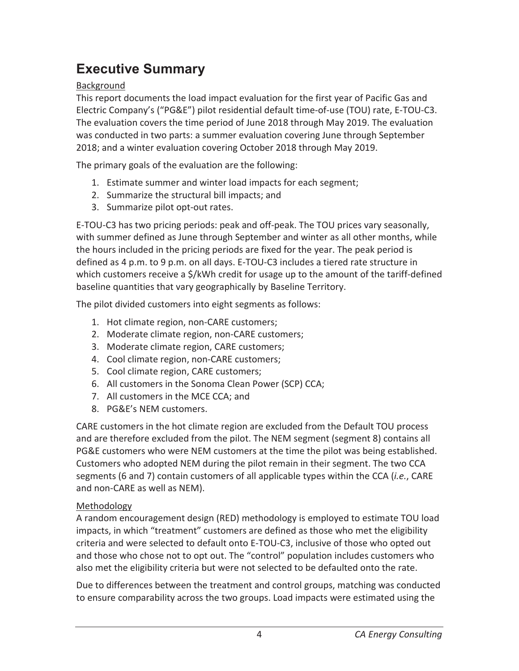# **Executive Summary**

### Background

This report documents the load impact evaluation for the first year of Pacific Gas and Electric Company's ("PG&E") pilot residential default time-of-use (TOU) rate, E-TOU-C3. The evaluation covers the time period of June 2018 through May 2019. The evaluation was conducted in two parts: a summer evaluation covering June through September 2018; and a winter evaluation covering October 2018 through May 2019.

The primary goals of the evaluation are the following:

- 1. Estimate summer and winter load impacts for each segment;
- 2. Summarize the structural bill impacts; and
- 3. Summarize pilot opt-out rates.

E-TOU-C3 has two pricing periods: peak and off-peak. The TOU prices vary seasonally, with summer defined as June through September and winter as all other months, while the hours included in the pricing periods are fixed for the year. The peak period is defined as 4 p.m. to 9 p.m. on all days. E-TOU-C3 includes a tiered rate structure in which customers receive a \$/kWh credit for usage up to the amount of the tariff-defined baseline quantities that vary geographically by Baseline Territory.

The pilot divided customers into eight segments as follows:

- 1. Hot climate region, non-CARE customers;
- 2. Moderate climate region, non-CARE customers;
- 3. Moderate climate region, CARE customers;
- 4. Cool climate region, non-CARE customers;
- 5. Cool climate region, CARE customers;
- 6. All customers in the Sonoma Clean Power (SCP) CCA;
- 7. All customers in the MCE CCA; and
- 8. PG&E's NEM customers.

CARE customers in the hot climate region are excluded from the Default TOU process and are therefore excluded from the pilot. The NEM segment (segment 8) contains all PG&E customers who were NEM customers at the time the pilot was being established. Customers who adopted NEM during the pilot remain in their segment. The two CCA segments (6 and 7) contain customers of all applicable types within the CCA (*i.e.*, CARE and non-CARE as well as NEM).

### Methodology

A random encouragement design (RED) methodology is employed to estimate TOU load impacts, in which "treatment" customers are defined as those who met the eligibility criteria and were selected to default onto E-TOU-C3, inclusive of those who opted out and those who chose not to opt out. The "control" population includes customers who also met the eligibility criteria but were not selected to be defaulted onto the rate.

Due to differences between the treatment and control groups, matching was conducted to ensure comparability across the two groups. Load impacts were estimated using the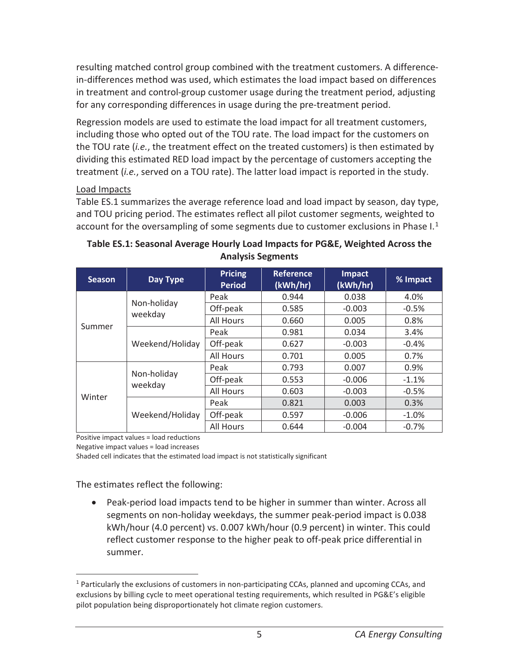resulting matched control group combined with the treatment customers. A differencein-differences method was used, which estimates the load impact based on differences in treatment and control-group customer usage during the treatment period, adjusting for any corresponding differences in usage during the pre-treatment period.

Regression models are used to estimate the load impact for all treatment customers, including those who opted out of the TOU rate. The load impact for the customers on the TOU rate (*i.e.*, the treatment effect on the treated customers) is then estimated by dividing this estimated RED load impact by the percentage of customers accepting the treatment (*i.e.*, served on a TOU rate). The latter load impact is reported in the study.

#### Load Impacts

Table ES.1 summarizes the average reference load and load impact by season, day type, and TOU pricing period. The estimates reflect all pilot customer segments, weighted to account for the oversampling of some segments due to customer exclusions in Phase  $I<sup>1</sup>$ 

| <b>Season</b> | Day Type               | <b>Pricing</b><br><b>Period</b> | <b>Reference</b><br>(kWh/hr) | <b>Impact</b><br>(kWh/hr) | % Impact |
|---------------|------------------------|---------------------------------|------------------------------|---------------------------|----------|
|               |                        | Peak                            | 0.944                        | 0.038                     | 4.0%     |
|               | Non-holiday<br>weekday | Off-peak                        | 0.585                        | $-0.003$                  | $-0.5%$  |
|               |                        | All Hours                       | 0.660                        | 0.005                     | 0.8%     |
| Summer        |                        | Peak                            | 0.981                        | 0.034                     | 3.4%     |
|               | Weekend/Holiday        | Off-peak                        | 0.627                        | $-0.003$                  | $-0.4%$  |
|               |                        | All Hours                       | 0.701                        | 0.005                     | 0.7%     |
| Winter        |                        | Peak                            | 0.793                        | 0.007                     | 0.9%     |
|               | Non-holiday<br>weekday | Off-peak                        | 0.553                        | $-0.006$                  | $-1.1%$  |
|               |                        | All Hours                       | 0.603                        | $-0.003$                  | $-0.5%$  |
|               |                        | Peak                            | 0.821                        | 0.003                     | 0.3%     |
|               | Weekend/Holiday        | Off-peak                        | 0.597                        | $-0.006$                  | $-1.0\%$ |
|               |                        | All Hours                       | 0.644                        | $-0.004$                  | $-0.7%$  |

**Table ES.1: Seasonal Average Hourly Load Impacts for PG&E, Weighted Across the Analysis Segments** 

Positive impact values = load reductions

Negative impact values = load increases

 $\overline{a}$ 

Shaded cell indicates that the estimated load impact is not statistically significant

The estimates reflect the following:

• Peak-period load impacts tend to be higher in summer than winter. Across all segments on non-holiday weekdays, the summer peak-period impact is 0.038 kWh/hour (4.0 percent) vs. 0.007 kWh/hour (0.9 percent) in winter. This could reflect customer response to the higher peak to off-peak price differential in summer.

<sup>&</sup>lt;sup>1</sup> Particularly the exclusions of customers in non-participating CCAs, planned and upcoming CCAs, and exclusions by billing cycle to meet operational testing requirements, which resulted in PG&E's eligible pilot population being disproportionately hot climate region customers.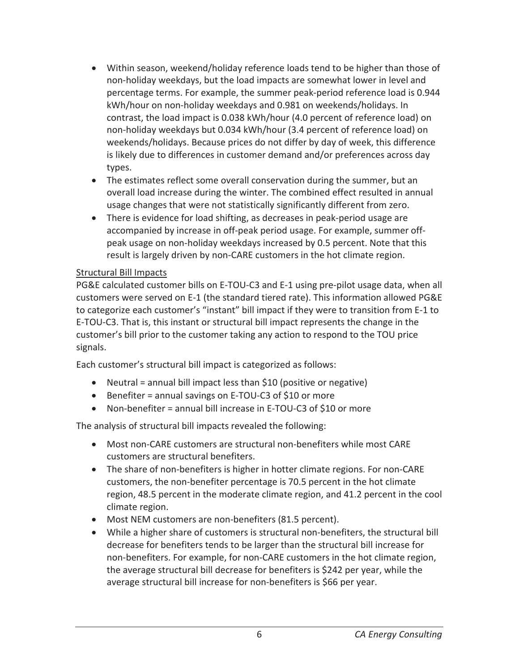- Within season, weekend/holiday reference loads tend to be higher than those of non-holiday weekdays, but the load impacts are somewhat lower in level and percentage terms. For example, the summer peak-period reference load is 0.944 kWh/hour on non-holiday weekdays and 0.981 on weekends/holidays. In contrast, the load impact is 0.038 kWh/hour (4.0 percent of reference load) on non-holiday weekdays but 0.034 kWh/hour (3.4 percent of reference load) on weekends/holidays. Because prices do not differ by day of week, this difference is likely due to differences in customer demand and/or preferences across day types.
- The estimates reflect some overall conservation during the summer, but an overall load increase during the winter. The combined effect resulted in annual usage changes that were not statistically significantly different from zero.
- There is evidence for load shifting, as decreases in peak-period usage are accompanied by increase in off-peak period usage. For example, summer offpeak usage on non-holiday weekdays increased by 0.5 percent. Note that this result is largely driven by non-CARE customers in the hot climate region.

#### Structural Bill Impacts

PG&E calculated customer bills on E-TOU-C3 and E-1 using pre-pilot usage data, when all customers were served on E-1 (the standard tiered rate). This information allowed PG&E to categorize each customer's "instant" bill impact if they were to transition from E-1 to E-TOU-C3. That is, this instant or structural bill impact represents the change in the customer's bill prior to the customer taking any action to respond to the TOU price signals.

Each customer's structural bill impact is categorized as follows:

- $\bullet$  Neutral = annual bill impact less than \$10 (positive or negative)
- **•** Benefiter = annual savings on E-TOU-C3 of \$10 or more
- Non-benefiter = annual bill increase in E-TOU-C3 of \$10 or more

The analysis of structural bill impacts revealed the following:

- Most non-CARE customers are structural non-benefiters while most CARE customers are structural benefiters.
- The share of non-benefiters is higher in hotter climate regions. For non-CARE customers, the non-benefiter percentage is 70.5 percent in the hot climate region, 48.5 percent in the moderate climate region, and 41.2 percent in the cool climate region.
- Most NEM customers are non-benefiters (81.5 percent).
- While a higher share of customers is structural non-benefiters, the structural bill decrease for benefiters tends to be larger than the structural bill increase for non-benefiters. For example, for non-CARE customers in the hot climate region, the average structural bill decrease for benefiters is \$242 per year, while the average structural bill increase for non-benefiters is \$66 per year.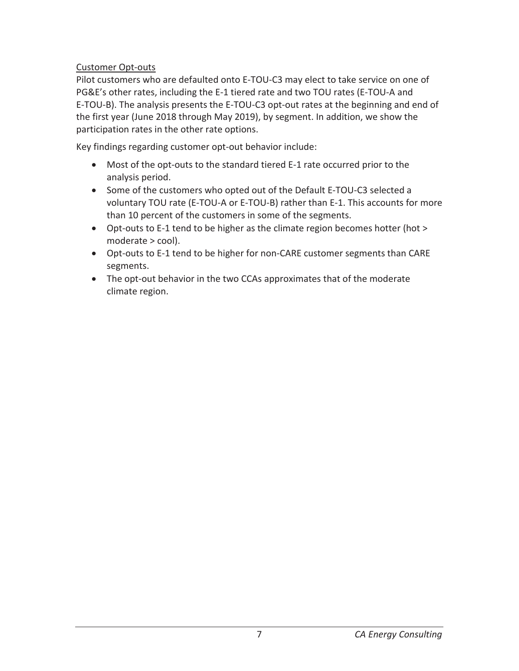### Customer Opt-outs

Pilot customers who are defaulted onto E-TOU-C3 may elect to take service on one of PG&E's other rates, including the E-1 tiered rate and two TOU rates (E-TOU-A and E-TOU-B). The analysis presents the E-TOU-C3 opt-out rates at the beginning and end of the first year (June 2018 through May 2019), by segment. In addition, we show the participation rates in the other rate options.

Key findings regarding customer opt-out behavior include:

- Most of the opt-outs to the standard tiered E-1 rate occurred prior to the analysis period.
- Some of the customers who opted out of the Default E-TOU-C3 selected a voluntary TOU rate (E-TOU-A or E-TOU-B) rather than E-1. This accounts for more than 10 percent of the customers in some of the segments.
- Opt-outs to E-1 tend to be higher as the climate region becomes hotter (hot > moderate > cool).
- Opt-outs to E-1 tend to be higher for non-CARE customer segments than CARE segments.
- The opt-out behavior in the two CCAs approximates that of the moderate climate region.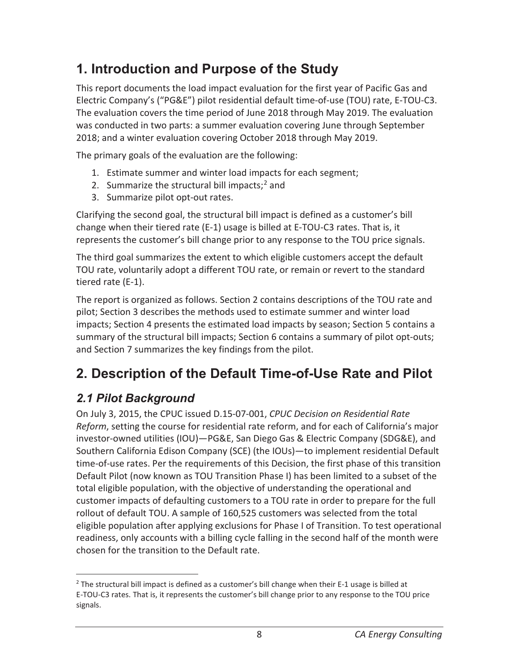# **1. Introduction and Purpose of the Study**

This report documents the load impact evaluation for the first year of Pacific Gas and Electric Company's ("PG&E") pilot residential default time-of-use (TOU) rate, E-TOU-C3. The evaluation covers the time period of June 2018 through May 2019. The evaluation was conducted in two parts: a summer evaluation covering June through September 2018; and a winter evaluation covering October 2018 through May 2019.

The primary goals of the evaluation are the following:

- 1. Estimate summer and winter load impacts for each segment;
- 2. Summarize the structural bill impacts; $<sup>2</sup>$  and</sup>
- 3. Summarize pilot opt-out rates.

Clarifying the second goal, the structural bill impact is defined as a customer's bill change when their tiered rate (E-1) usage is billed at E-TOU-C3 rates. That is, it represents the customer's bill change prior to any response to the TOU price signals.

The third goal summarizes the extent to which eligible customers accept the default TOU rate, voluntarily adopt a different TOU rate, or remain or revert to the standard tiered rate (E-1).

The report is organized as follows. Section 2 contains descriptions of the TOU rate and pilot; Section 3 describes the methods used to estimate summer and winter load impacts; Section 4 presents the estimated load impacts by season; Section 5 contains a summary of the structural bill impacts; Section 6 contains a summary of pilot opt-outs; and Section 7 summarizes the key findings from the pilot.

# **2. Description of the Default Time-of-Use Rate and Pilot**

### *2.1 Pilot Background*

On July 3, 2015, the CPUC issued D.15-07-001, *CPUC Decision on Residential Rate Reform*, setting the course for residential rate reform, and for each of California's major investor-owned utilities (IOU)—PG&E, San Diego Gas & Electric Company (SDG&E), and Southern California Edison Company (SCE) (the IOUs)—to implement residential Default time-of-use rates. Per the requirements of this Decision, the first phase of this transition Default Pilot (now known as TOU Transition Phase I) has been limited to a subset of the total eligible population, with the objective of understanding the operational and customer impacts of defaulting customers to a TOU rate in order to prepare for the full rollout of default TOU. A sample of 160,525 customers was selected from the total eligible population after applying exclusions for Phase I of Transition. To test operational readiness, only accounts with a billing cycle falling in the second half of the month were chosen for the transition to the Default rate.

 $\overline{a}$ <sup>2</sup> The structural bill impact is defined as a customer's bill change when their E-1 usage is billed at E-TOU-C3 rates. That is, it represents the customer's bill change prior to any response to the TOU price signals.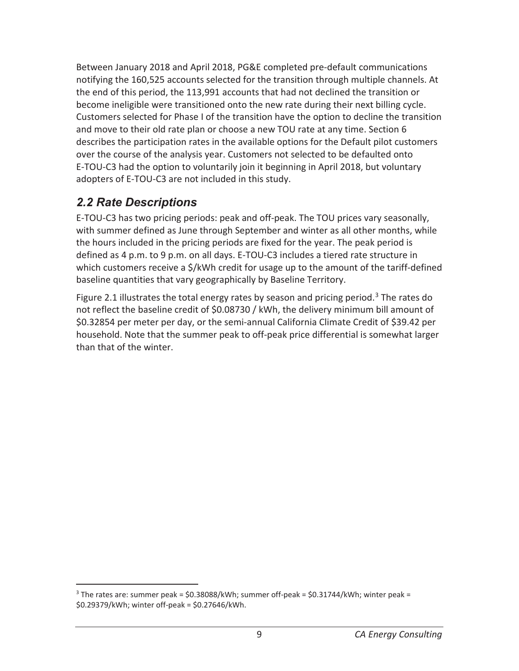Between January 2018 and April 2018, PG&E completed pre-default communications notifying the 160,525 accounts selected for the transition through multiple channels. At the end of this period, the 113,991 accounts that had not declined the transition or become ineligible were transitioned onto the new rate during their next billing cycle. Customers selected for Phase I of the transition have the option to decline the transition and move to their old rate plan or choose a new TOU rate at any time. Section 6 describes the participation rates in the available options for the Default pilot customers over the course of the analysis year. Customers not selected to be defaulted onto E-TOU-C3 had the option to voluntarily join it beginning in April 2018, but voluntary adopters of E-TOU-C3 are not included in this study.

### *2.2 Rate Descriptions*

 $\overline{a}$ 

E-TOU-C3 has two pricing periods: peak and off-peak. The TOU prices vary seasonally, with summer defined as June through September and winter as all other months, while the hours included in the pricing periods are fixed for the year. The peak period is defined as 4 p.m. to 9 p.m. on all days. E-TOU-C3 includes a tiered rate structure in which customers receive a \$/kWh credit for usage up to the amount of the tariff-defined baseline quantities that vary geographically by Baseline Territory.

Figure 2.1 illustrates the total energy rates by season and pricing period.<sup>3</sup> The rates do not reflect the baseline credit of \$0.08730 / kWh, the delivery minimum bill amount of \$0.32854 per meter per day, or the semi-annual California Climate Credit of \$39.42 per household. Note that the summer peak to off-peak price differential is somewhat larger than that of the winter.

 $3$  The rates are: summer peak = \$0.38088/kWh; summer off-peak = \$0.31744/kWh; winter peak = \$0.29379/kWh; winter off-peak = \$0.27646/kWh.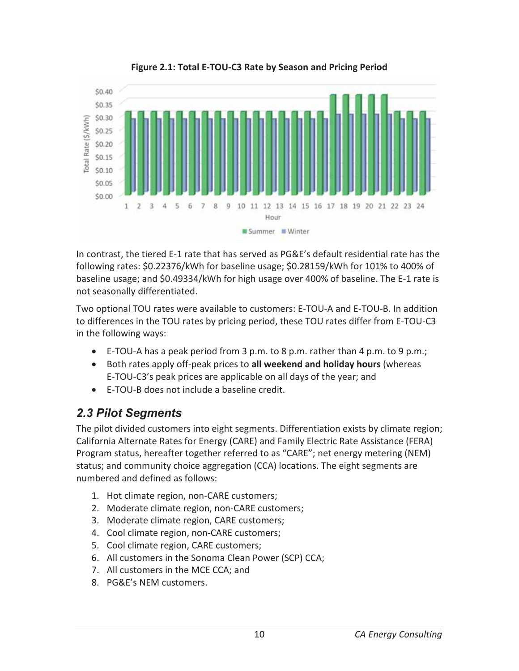

**Figure 2.1: Total E-TOU-C3 Rate by Season and Pricing Period** 

In contrast, the tiered E-1 rate that has served as PG&E's default residential rate has the following rates: \$0.22376/kWh for baseline usage; \$0.28159/kWh for 101% to 400% of baseline usage; and \$0.49334/kWh for high usage over 400% of baseline. The E-1 rate is not seasonally differentiated.

Two optional TOU rates were available to customers: E-TOU-A and E-TOU-B. In addition to differences in the TOU rates by pricing period, these TOU rates differ from E-TOU-C3 in the following ways:

- E-TOU-A has a peak period from 3 p.m. to 8 p.m. rather than 4 p.m. to 9 p.m.;
- **•** Both rates apply off-peak prices to **all weekend and holiday hours** (whereas E-TOU-C3's peak prices are applicable on all days of the year; and
- $\bullet$  E-TOU-B does not include a baseline credit.

### *2.3 Pilot Segments*

The pilot divided customers into eight segments. Differentiation exists by climate region; California Alternate Rates for Energy (CARE) and Family Electric Rate Assistance (FERA) Program status, hereafter together referred to as "CARE"; net energy metering (NEM) status; and community choice aggregation (CCA) locations. The eight segments are numbered and defined as follows:

- 1. Hot climate region, non-CARE customers;
- 2. Moderate climate region, non-CARE customers;
- 3. Moderate climate region, CARE customers;
- 4. Cool climate region, non-CARE customers;
- 5. Cool climate region, CARE customers;
- 6. All customers in the Sonoma Clean Power (SCP) CCA;
- 7. All customers in the MCE CCA; and
- 8. PG&E's NEM customers.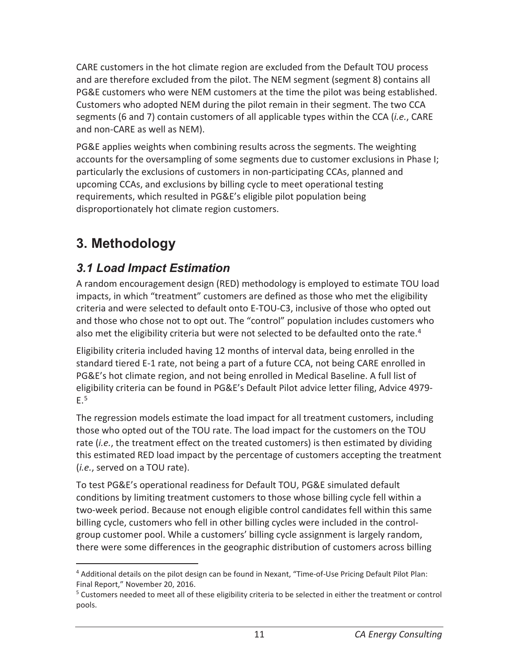CARE customers in the hot climate region are excluded from the Default TOU process and are therefore excluded from the pilot. The NEM segment (segment 8) contains all PG&E customers who were NEM customers at the time the pilot was being established. Customers who adopted NEM during the pilot remain in their segment. The two CCA segments (6 and 7) contain customers of all applicable types within the CCA (*i.e.*, CARE and non-CARE as well as NEM).

PG&E applies weights when combining results across the segments. The weighting accounts for the oversampling of some segments due to customer exclusions in Phase I; particularly the exclusions of customers in non-participating CCAs, planned and upcoming CCAs, and exclusions by billing cycle to meet operational testing requirements, which resulted in PG&E's eligible pilot population being disproportionately hot climate region customers.

# **3. Methodology**

 $\overline{a}$ 

### *3.1 Load Impact Estimation*

A random encouragement design (RED) methodology is employed to estimate TOU load impacts, in which "treatment" customers are defined as those who met the eligibility criteria and were selected to default onto E-TOU-C3, inclusive of those who opted out and those who chose not to opt out. The "control" population includes customers who also met the eligibility criteria but were not selected to be defaulted onto the rate.<sup>4</sup>

Eligibility criteria included having 12 months of interval data, being enrolled in the standard tiered E-1 rate, not being a part of a future CCA, not being CARE enrolled in PG&E's hot climate region, and not being enrolled in Medical Baseline. A full list of eligibility criteria can be found in PG&E's Default Pilot advice letter filing, Advice 4979-  $E.<sup>5</sup>$ 

The regression models estimate the load impact for all treatment customers, including those who opted out of the TOU rate. The load impact for the customers on the TOU rate (*i.e.*, the treatment effect on the treated customers) is then estimated by dividing this estimated RED load impact by the percentage of customers accepting the treatment (*i.e.*, served on a TOU rate).

To test PG&E's operational readiness for Default TOU, PG&E simulated default conditions by limiting treatment customers to those whose billing cycle fell within a two-week period. Because not enough eligible control candidates fell within this same billing cycle, customers who fell in other billing cycles were included in the controlgroup customer pool. While a customers' billing cycle assignment is largely random, there were some differences in the geographic distribution of customers across billing

<sup>4</sup> Additional details on the pilot design can be found in Nexant, "Time-of-Use Pricing Default Pilot Plan: Final Report," November 20, 2016.

<sup>&</sup>lt;sup>5</sup> Customers needed to meet all of these eligibility criteria to be selected in either the treatment or control pools.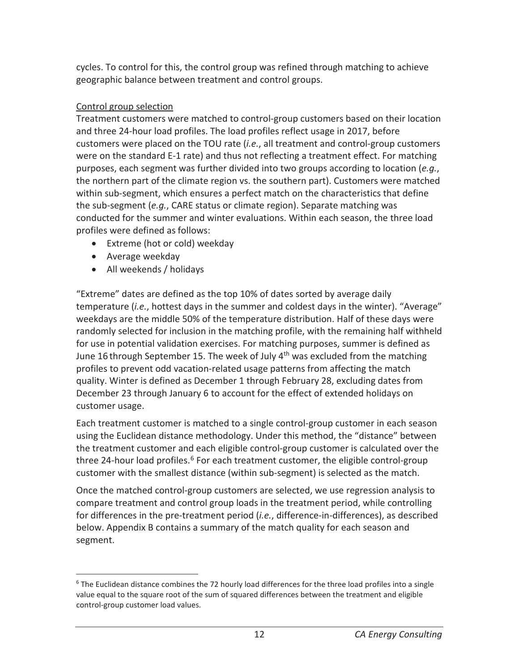cycles. To control for this, the control group was refined through matching to achieve geographic balance between treatment and control groups.

### Control group selection

Treatment customers were matched to control-group customers based on their location and three 24-hour load profiles. The load profiles reflect usage in 2017, before customers were placed on the TOU rate (*i.e.*, all treatment and control-group customers were on the standard E-1 rate) and thus not reflecting a treatment effect. For matching purposes, each segment was further divided into two groups according to location (*e.g.*, the northern part of the climate region vs. the southern part). Customers were matched within sub-segment, which ensures a perfect match on the characteristics that define the sub-segment (*e.g.*, CARE status or climate region). Separate matching was conducted for the summer and winter evaluations. Within each season, the three load profiles were defined as follows:

- Extreme (hot or cold) weekday
- Average weekday
- All weekends / holidays

"Extreme" dates are defined as the top 10% of dates sorted by average daily temperature (*i.e.*, hottest days in the summer and coldest days in the winter). "Average" weekdays are the middle 50% of the temperature distribution. Half of these days were randomly selected for inclusion in the matching profile, with the remaining half withheld for use in potential validation exercises. For matching purposes, summer is defined as June 16 through September 15. The week of July  $4<sup>th</sup>$  was excluded from the matching profiles to prevent odd vacation-related usage patterns from affecting the match quality. Winter is defined as December 1 through February 28, excluding dates from December 23 through January 6 to account for the effect of extended holidays on customer usage.

Each treatment customer is matched to a single control-group customer in each season using the Euclidean distance methodology. Under this method, the "distance" between the treatment customer and each eligible control-group customer is calculated over the three 24-hour load profiles.<sup>6</sup> For each treatment customer, the eligible control-group customer with the smallest distance (within sub-segment) is selected as the match.

Once the matched control-group customers are selected, we use regression analysis to compare treatment and control group loads in the treatment period, while controlling for differences in the pre-treatment period (*i.e.*, difference-in-differences), as described below. Appendix B contains a summary of the match quality for each season and segment.

 $\overline{a}$ <sup>6</sup> The Euclidean distance combines the 72 hourly load differences for the three load profiles into a single value equal to the square root of the sum of squared differences between the treatment and eligible control-group customer load values.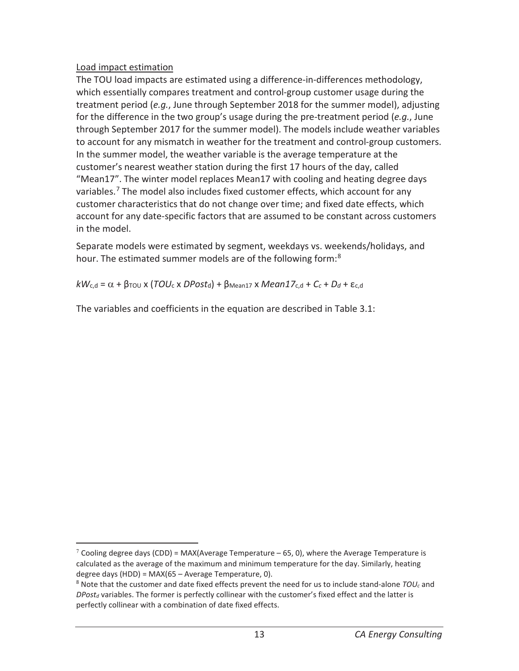### Load impact estimation

 $\overline{a}$ 

The TOU load impacts are estimated using a difference-in-differences methodology, which essentially compares treatment and control-group customer usage during the treatment period (*e.g.*, June through September 2018 for the summer model), adjusting for the difference in the two group's usage during the pre-treatment period (*e.g.*, June through September 2017 for the summer model). The models include weather variables to account for any mismatch in weather for the treatment and control-group customers. In the summer model, the weather variable is the average temperature at the customer's nearest weather station during the first 17 hours of the day, called "Mean17". The winter model replaces Mean17 with cooling and heating degree days variables.7 The model also includes fixed customer effects, which account for any customer characteristics that do not change over time; and fixed date effects, which account for any date-specific factors that are assumed to be constant across customers in the model.

Separate models were estimated by segment, weekdays vs. weekends/holidays, and hour. The estimated summer models are of the following form:<sup>8</sup>

 $kW_{c,d} = \alpha + \beta_{\text{TOU}} x$  (*TOU<sub>c</sub>* x *DPost<sub>d</sub>*) +  $\beta_{\text{Mean17}} x$  *Mean17*<sub>c,d</sub> + *C<sub>c</sub>* + *D<sub>d</sub>* + ε<sub>c,d</sub>

The variables and coefficients in the equation are described in Table 3.1:

 $7$  Cooling degree days (CDD) = MAX(Average Temperature – 65, 0), where the Average Temperature is calculated as the average of the maximum and minimum temperature for the day. Similarly, heating degree days (HDD) = MAX(65 – Average Temperature, 0).

<sup>8</sup> Note that the customer and date fixed effects prevent the need for us to include stand-alone *TOUc* and  $DPost<sub>d</sub>$  variables. The former is perfectly collinear with the customer's fixed effect and the latter is perfectly collinear with a combination of date fixed effects.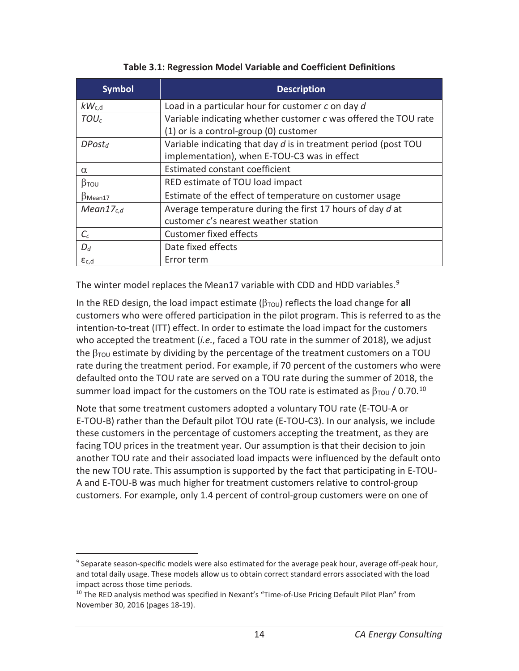| <b>Symbol</b>         | <b>Description</b>                                              |
|-----------------------|-----------------------------------------------------------------|
| $kW_{c,d}$            | Load in a particular hour for customer c on day d               |
| TOU <sub>c</sub>      | Variable indicating whether customer c was offered the TOU rate |
|                       | (1) or is a control-group (0) customer                          |
| DPost <sub>d</sub>    | Variable indicating that day d is in treatment period (post TOU |
|                       | implementation), when E-TOU-C3 was in effect                    |
| $\alpha$              | Estimated constant coefficient                                  |
| $\beta$ TOU           | RED estimate of TOU load impact                                 |
| $\beta$ Mean17        | Estimate of the effect of temperature on customer usage         |
| Mean17 <sub>c,d</sub> | Average temperature during the first 17 hours of day d at       |
|                       | customer c's nearest weather station                            |
| $C_c$                 | <b>Customer fixed effects</b>                                   |
| $D_d$                 | Date fixed effects                                              |
| $\epsilon_{c,d}$      | Error term                                                      |

#### **Table 3.1: Regression Model Variable and Coefficient Definitions**

The winter model replaces the Mean17 variable with CDD and HDD variables.<sup>9</sup>

In the RED design, the load impact estimate  $(\beta_{TOU})$  reflects the load change for all customers who were offered participation in the pilot program. This is referred to as the intention-to-treat (ITT) effect. In order to estimate the load impact for the customers who accepted the treatment (*i.e.*, faced a TOU rate in the summer of 2018), we adjust the  $\beta_{\text{TOU}}$  estimate by dividing by the percentage of the treatment customers on a TOU rate during the treatment period. For example, if 70 percent of the customers who were defaulted onto the TOU rate are served on a TOU rate during the summer of 2018, the summer load impact for the customers on the TOU rate is estimated as  $\beta_{\text{TOU}}$  / 0.70.<sup>10</sup>

Note that some treatment customers adopted a voluntary TOU rate (E-TOU-A or E-TOU-B) rather than the Default pilot TOU rate (E-TOU-C3). In our analysis, we include these customers in the percentage of customers accepting the treatment, as they are facing TOU prices in the treatment year. Our assumption is that their decision to join another TOU rate and their associated load impacts were influenced by the default onto the new TOU rate. This assumption is supported by the fact that participating in E-TOU-A and E-TOU-B was much higher for treatment customers relative to control-group customers. For example, only 1.4 percent of control-group customers were on one of

 $\overline{a}$ 

<sup>&</sup>lt;sup>9</sup> Separate season-specific models were also estimated for the average peak hour, average off-peak hour, and total daily usage. These models allow us to obtain correct standard errors associated with the load impact across those time periods.

<sup>&</sup>lt;sup>10</sup> The RED analysis method was specified in Nexant's "Time-of-Use Pricing Default Pilot Plan" from November 30, 2016 (pages 18-19).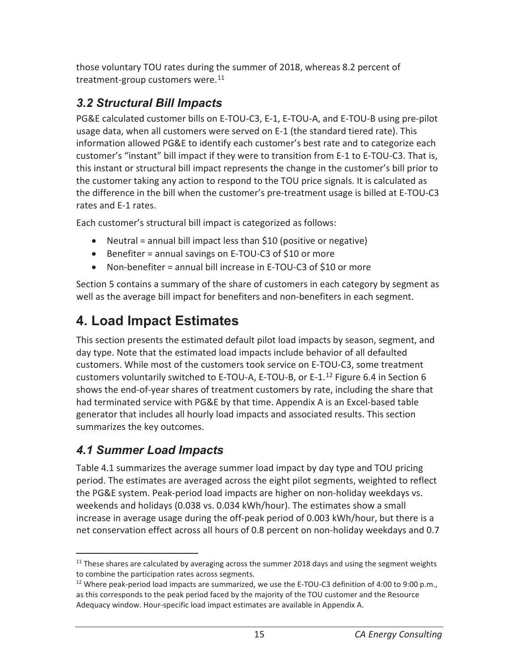those voluntary TOU rates during the summer of 2018, whereas 8.2 percent of treatment-group customers were.<sup>11</sup>

### *3.2 Structural Bill Impacts*

PG&E calculated customer bills on E-TOU-C3, E-1, E-TOU-A, and E-TOU-B using pre-pilot usage data, when all customers were served on E-1 (the standard tiered rate). This information allowed PG&E to identify each customer's best rate and to categorize each customer's "instant" bill impact if they were to transition from E-1 to E-TOU-C3. That is, this instant or structural bill impact represents the change in the customer's bill prior to the customer taking any action to respond to the TOU price signals. It is calculated as the difference in the bill when the customer's pre-treatment usage is billed at E-TOU-C3 rates and E-1 rates.

Each customer's structural bill impact is categorized as follows:

- Neutral = annual bill impact less than  $$10$  (positive or negative)
- **•** Benefiter = annual savings on E-TOU-C3 of \$10 or more
- Non-benefiter = annual bill increase in E-TOU-C3 of \$10 or more

Section 5 contains a summary of the share of customers in each category by segment as well as the average bill impact for benefiters and non-benefiters in each segment.

# **4. Load Impact Estimates**

This section presents the estimated default pilot load impacts by season, segment, and day type. Note that the estimated load impacts include behavior of all defaulted customers. While most of the customers took service on E-TOU-C3, some treatment customers voluntarily switched to E-TOU-A, E-TOU-B, or E-1.<sup>12</sup> Figure 6.4 in Section 6 shows the end-of-year shares of treatment customers by rate, including the share that had terminated service with PG&E by that time. Appendix A is an Excel-based table generator that includes all hourly load impacts and associated results. This section summarizes the key outcomes.

### *4.1 Summer Load Impacts*

Table 4.1 summarizes the average summer load impact by day type and TOU pricing period. The estimates are averaged across the eight pilot segments, weighted to reflect the PG&E system. Peak-period load impacts are higher on non-holiday weekdays vs. weekends and holidays (0.038 vs. 0.034 kWh/hour). The estimates show a small increase in average usage during the off-peak period of 0.003 kWh/hour, but there is a net conservation effect across all hours of 0.8 percent on non-holiday weekdays and 0.7

 $\overline{a}$  $11$  These shares are calculated by averaging across the summer 2018 days and using the segment weights to combine the participation rates across segments.<br><sup>12</sup> Where peak-period load impacts are summarized, we use the E-TOU-C3 definition of 4:00 to 9:00 p.m.,

as this corresponds to the peak period faced by the majority of the TOU customer and the Resource Adequacy window. Hour-specific load impact estimates are available in Appendix A.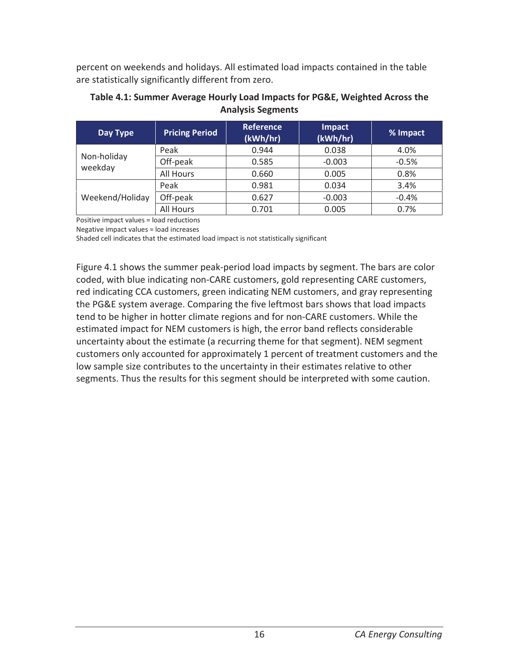percent on weekends and holidays. All estimated load impacts contained in the table are statistically significantly different from zero.

| <b>Pricing Period</b><br>Day Type |           | <b>Reference</b><br>(kWh/hr) | Impact<br>(kWh/hr) | % Impact |  |
|-----------------------------------|-----------|------------------------------|--------------------|----------|--|
| Non-holiday<br>weekday            | Peak      | 0.944<br>0.038               |                    | 4.0%     |  |
|                                   | Off-peak  | 0.585                        | $-0.003$           | $-0.5%$  |  |
|                                   | All Hours | 0.660                        | 0.005              | 0.8%     |  |
| Weekend/Holiday                   | Peak      | 0.981                        | 0.034              | 3.4%     |  |
|                                   | Off-peak  | 0.627                        | $-0.003$           | $-0.4%$  |  |
|                                   | All Hours | 0.701                        | 0.005              | 0.7%     |  |

#### **Table 4.1: Summer Average Hourly Load Impacts for PG&E, Weighted Across the Analysis Segments**

Positive impact values = load reductions

Negative impact values = load increases

Shaded cell indicates that the estimated load impact is not statistically significant

Figure 4.1 shows the summer peak-period load impacts by segment. The bars are color coded, with blue indicating non-CARE customers, gold representing CARE customers, red indicating CCA customers, green indicating NEM customers, and gray representing the PG&E system average. Comparing the five leftmost bars shows that load impacts tend to be higher in hotter climate regions and for non-CARE customers. While the estimated impact for NEM customers is high, the error band reflects considerable uncertainty about the estimate (a recurring theme for that segment). NEM segment customers only accounted for approximately 1 percent of treatment customers and the low sample size contributes to the uncertainty in their estimates relative to other segments. Thus the results for this segment should be interpreted with some caution.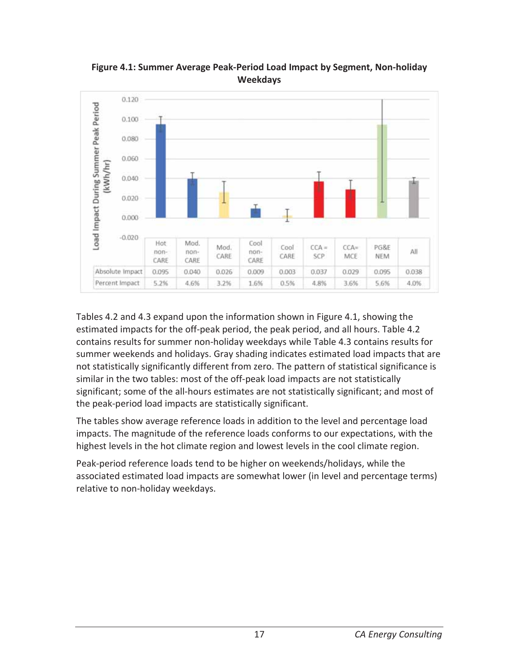

**Figure 4.1: Summer Average Peak-Period Load Impact by Segment, Non-holiday Weekdays** 

Tables 4.2 and 4.3 expand upon the information shown in Figure 4.1, showing the estimated impacts for the off-peak period, the peak period, and all hours. Table 4.2 contains results for summer non-holiday weekdays while Table 4.3 contains results for summer weekends and holidays. Gray shading indicates estimated load impacts that are not statistically significantly different from zero. The pattern of statistical significance is similar in the two tables: most of the off-peak load impacts are not statistically significant; some of the all-hours estimates are not statistically significant; and most of the peak-period load impacts are statistically significant.

The tables show average reference loads in addition to the level and percentage load impacts. The magnitude of the reference loads conforms to our expectations, with the highest levels in the hot climate region and lowest levels in the cool climate region.

Peak-period reference loads tend to be higher on weekends/holidays, while the associated estimated load impacts are somewhat lower (in level and percentage terms) relative to non-holiday weekdays.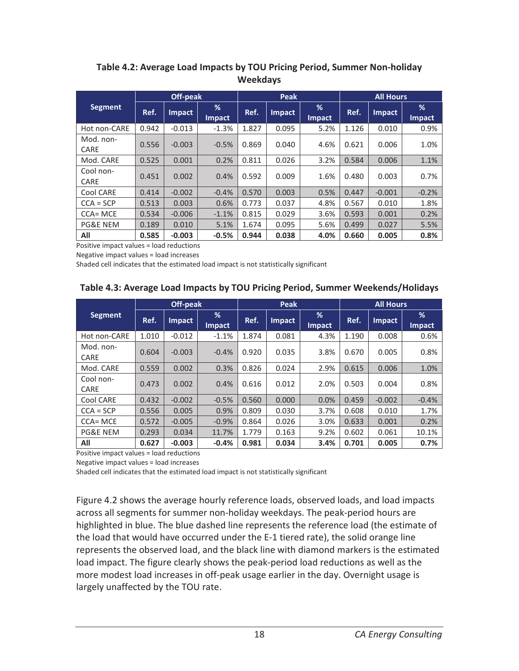|                   | Off-peak |               |                    | Peak  |               |                    | <b>All Hours</b> |          |                    |
|-------------------|----------|---------------|--------------------|-------|---------------|--------------------|------------------|----------|--------------------|
| <b>Segment</b>    | Ref.     | <b>Impact</b> | %<br><b>Impact</b> | Ref.  | <b>Impact</b> | %<br><b>Impact</b> | Ref.             | Impact   | %<br><b>Impact</b> |
| Hot non-CARE      | 0.942    | $-0.013$      | $-1.3%$            | 1.827 | 0.095         | 5.2%               | 1.126            | 0.010    | 0.9%               |
| Mod. non-<br>CARE | 0.556    | $-0.003$      | $-0.5%$            | 0.869 | 0.040         | 4.6%               | 0.621            | 0.006    | 1.0%               |
| Mod. CARE         | 0.525    | 0.001         | 0.2%               | 0.811 | 0.026         | 3.2%               | 0.584            | 0.006    | 1.1%               |
| Cool non-<br>CARE | 0.451    | 0.002         | 0.4%               | 0.592 | 0.009         | 1.6%               | 0.480            | 0.003    | 0.7%               |
| Cool CARE         | 0.414    | $-0.002$      | $-0.4%$            | 0.570 | 0.003         | 0.5%               | 0.447            | $-0.001$ | $-0.2%$            |
| $CCA = SCP$       | 0.513    | 0.003         | 0.6%               | 0.773 | 0.037         | 4.8%               | 0.567            | 0.010    | 1.8%               |
| CCA= MCE          | 0.534    | $-0.006$      | $-1.1%$            | 0.815 | 0.029         | 3.6%               | 0.593            | 0.001    | 0.2%               |
| PG&E NEM          | 0.189    | 0.010         | 5.1%               | 1.674 | 0.095         | 5.6%               | 0.499            | 0.027    | 5.5%               |
| All               | 0.585    | $-0.003$      | $-0.5%$            | 0.944 | 0.038         | 4.0%               | 0.660            | 0.005    | 0.8%               |

#### **Table 4.2: Average Load Impacts by TOU Pricing Period, Summer Non-holiday Weekdays**

Positive impact values = load reductions

Negative impact values = load increases

Shaded cell indicates that the estimated load impact is not statistically significant

#### **Table 4.3: Average Load Impacts by TOU Pricing Period, Summer Weekends/Holidays**

|                   | Off-peak |               |                    | <b>Peak</b> |               |                    | <b>All Hours</b> |               |             |
|-------------------|----------|---------------|--------------------|-------------|---------------|--------------------|------------------|---------------|-------------|
| <b>Segment</b>    | Ref.     | <b>Impact</b> | %<br><b>Impact</b> | Ref.        | <b>Impact</b> | %<br><b>Impact</b> | Ref.             | <b>Impact</b> | %<br>Impact |
| Hot non-CARE      | 1.010    | $-0.012$      | $-1.1%$            | 1.874       | 0.081         | 4.3%               | 1.190            | 0.008         | 0.6%        |
| Mod. non-<br>CARE | 0.604    | $-0.003$      | $-0.4%$            | 0.920       | 0.035         | 3.8%               | 0.670            | 0.005         | 0.8%        |
| Mod. CARE         | 0.559    | 0.002         | 0.3%               | 0.826       | 0.024         | 2.9%               | 0.615            | 0.006         | 1.0%        |
| Cool non-<br>CARE | 0.473    | 0.002         | 0.4%               | 0.616       | 0.012         | 2.0%               | 0.503            | 0.004         | 0.8%        |
| Cool CARE         | 0.432    | $-0.002$      | $-0.5%$            | 0.560       | 0.000         | 0.0%               | 0.459            | $-0.002$      | $-0.4%$     |
| $CCA = SCP$       | 0.556    | 0.005         | 0.9%               | 0.809       | 0.030         | 3.7%               | 0.608            | 0.010         | 1.7%        |
| $CCA = MCE$       | 0.572    | $-0.005$      | $-0.9%$            | 0.864       | 0.026         | 3.0%               | 0.633            | 0.001         | 0.2%        |
| PG&E NEM          | 0.293    | 0.034         | 11.7%              | 1.779       | 0.163         | 9.2%               | 0.602            | 0.061         | 10.1%       |
| All               | 0.627    | $-0.003$      | $-0.4%$            | 0.981       | 0.034         | 3.4%               | 0.701            | 0.005         | 0.7%        |

Positive impact values = load reductions

Negative impact values = load increases

Shaded cell indicates that the estimated load impact is not statistically significant

Figure 4.2 shows the average hourly reference loads, observed loads, and load impacts across all segments for summer non-holiday weekdays. The peak-period hours are highlighted in blue. The blue dashed line represents the reference load (the estimate of the load that would have occurred under the E-1 tiered rate), the solid orange line represents the observed load, and the black line with diamond markers is the estimated load impact. The figure clearly shows the peak-period load reductions as well as the more modest load increases in off-peak usage earlier in the day. Overnight usage is largely unaffected by the TOU rate.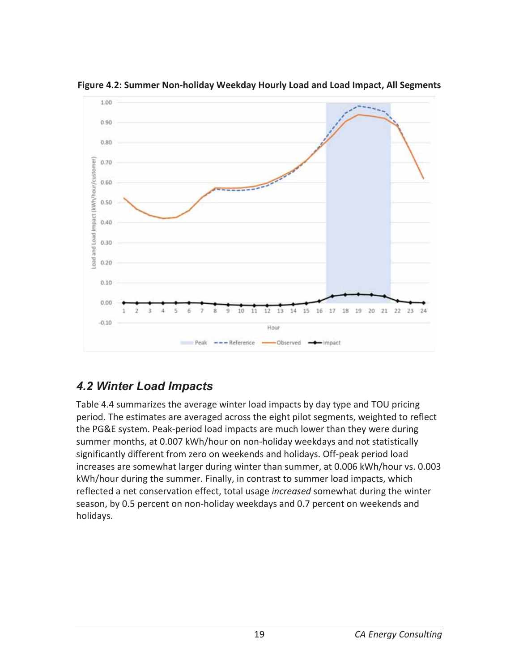

**Figure 4.2: Summer Non-holiday Weekday Hourly Load and Load Impact, All Segments** 

### *4.2 Winter Load Impacts*

Table 4.4 summarizes the average winter load impacts by day type and TOU pricing period. The estimates are averaged across the eight pilot segments, weighted to reflect the PG&E system. Peak-period load impacts are much lower than they were during summer months, at 0.007 kWh/hour on non-holiday weekdays and not statistically significantly different from zero on weekends and holidays. Off-peak period load increases are somewhat larger during winter than summer, at 0.006 kWh/hour vs. 0.003 kWh/hour during the summer. Finally, in contrast to summer load impacts, which reflected a net conservation effect, total usage *increased* somewhat during the winter season, by 0.5 percent on non-holiday weekdays and 0.7 percent on weekends and holidays.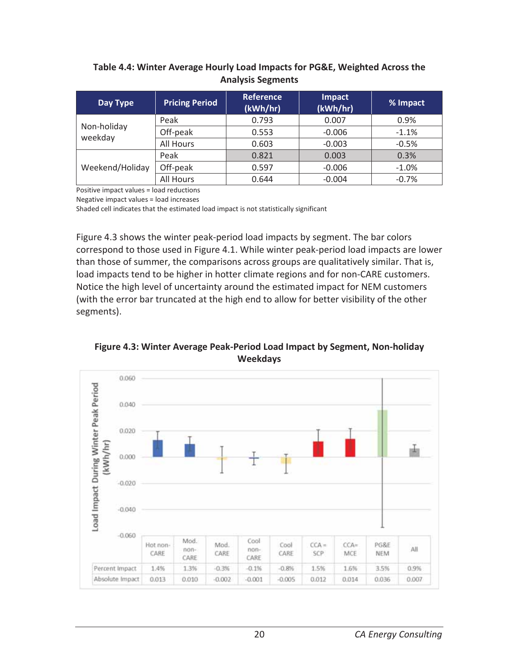#### **Table 4.4: Winter Average Hourly Load Impacts for PG&E, Weighted Across the Analysis Segments**

| Day Type               | <b>Pricing Period</b> | <b>Reference</b><br>(kWh/hr) | <b>Impact</b><br>(kWh/hr) | % Impact |
|------------------------|-----------------------|------------------------------|---------------------------|----------|
|                        | Peak                  | 0.793                        |                           | 0.9%     |
| Non-holiday<br>weekday | Off-peak              | 0.553                        | $-0.006$                  | $-1.1%$  |
|                        | All Hours             | 0.603                        | $-0.003$                  | $-0.5%$  |
|                        | Peak                  | 0.821                        | 0.003                     | 0.3%     |
| Weekend/Holiday        | Off-peak              | 0.597                        | $-0.006$                  | $-1.0%$  |
|                        | All Hours             | 0.644                        | $-0.004$                  | $-0.7%$  |

Positive impact values = load reductions

Negative impact values = load increases

Shaded cell indicates that the estimated load impact is not statistically significant

Figure 4.3 shows the winter peak-period load impacts by segment. The bar colors correspond to those used in Figure 4.1. While winter peak-period load impacts are lower than those of summer, the comparisons across groups are qualitatively similar. That is, load impacts tend to be higher in hotter climate regions and for non-CARE customers. Notice the high level of uncertainty around the estimated impact for NEM customers (with the error bar truncated at the high end to allow for better visibility of the other segments).

**Figure 4.3: Winter Average Peak-Period Load Impact by Segment, Non-holiday Weekdays** 

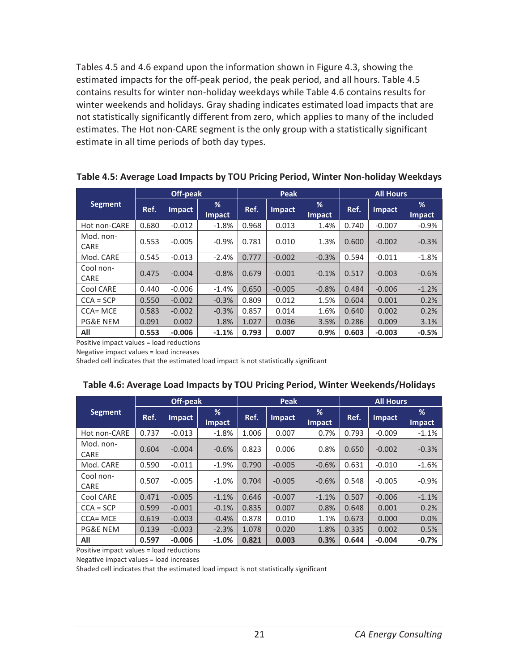Tables 4.5 and 4.6 expand upon the information shown in Figure 4.3, showing the estimated impacts for the off-peak period, the peak period, and all hours. Table 4.5 contains results for winter non-holiday weekdays while Table 4.6 contains results for winter weekends and holidays. Gray shading indicates estimated load impacts that are not statistically significantly different from zero, which applies to many of the included estimates. The Hot non-CARE segment is the only group with a statistically significant estimate in all time periods of both day types.

**Table 4.5: Average Load Impacts by TOU Pricing Period, Winter Non-holiday Weekdays** 

|                     | Off-peak |          |                    | Peak  |          |                    | <b>All Hours</b> |               |                    |
|---------------------|----------|----------|--------------------|-------|----------|--------------------|------------------|---------------|--------------------|
| <b>Segment</b>      | Ref.     | Impact   | %<br><b>Impact</b> | Ref.  | Impact   | %<br><b>Impact</b> | Ref.             | <b>Impact</b> | %<br><b>Impact</b> |
| Hot non-CARE        | 0.680    | $-0.012$ | $-1.8%$            | 0.968 | 0.013    | 1.4%               | 0.740            | $-0.007$      | $-0.9%$            |
| Mod. non-<br>CARE   | 0.553    | $-0.005$ | $-0.9%$            | 0.781 | 0.010    | 1.3%               | 0.600            | $-0.002$      | $-0.3%$            |
| Mod. CARE           | 0.545    | $-0.013$ | $-2.4%$            | 0.777 | $-0.002$ | $-0.3%$            | 0.594            | $-0.011$      | $-1.8%$            |
| Cool non-<br>CARE   | 0.475    | $-0.004$ | $-0.8%$            | 0.679 | $-0.001$ | $-0.1%$            | 0.517            | $-0.003$      | $-0.6%$            |
| Cool CARE           | 0.440    | $-0.006$ | $-1.4%$            | 0.650 | $-0.005$ | $-0.8%$            | 0.484            | $-0.006$      | $-1.2%$            |
| $CCA = SCP$         | 0.550    | $-0.002$ | $-0.3%$            | 0.809 | 0.012    | 1.5%               | 0.604            | 0.001         | 0.2%               |
| $CCA = MCE$         | 0.583    | $-0.002$ | $-0.3%$            | 0.857 | 0.014    | 1.6%               | 0.640            | 0.002         | 0.2%               |
| <b>PG&amp;E NEM</b> | 0.091    | 0.002    | 1.8%               | 1.027 | 0.036    | 3.5%               | 0.286            | 0.009         | 3.1%               |
| All                 | 0.553    | $-0.006$ | $-1.1%$            | 0.793 | 0.007    | 0.9%               | 0.603            | $-0.003$      | $-0.5%$            |

Positive impact values = load reductions

Negative impact values = load increases

Shaded cell indicates that the estimated load impact is not statistically significant

|                     |       | <b>Off-peak</b> |             |       | Peak          |                    |       | <b>All Hours</b> |             |
|---------------------|-------|-----------------|-------------|-------|---------------|--------------------|-------|------------------|-------------|
| <b>Segment</b>      | Ref.  | Impact          | %<br>Impact | Ref.  | <b>Impact</b> | %<br><b>Impact</b> | Ref.  | <b>Impact</b>    | %<br>Impact |
| Hot non-CARE        | 0.737 | $-0.013$        | $-1.8%$     | 1.006 | 0.007         | 0.7%               | 0.793 | $-0.009$         | $-1.1%$     |
| Mod. non-<br>CARE   | 0.604 | $-0.004$        | $-0.6%$     | 0.823 | 0.006         | 0.8%               | 0.650 | $-0.002$         | $-0.3%$     |
| Mod. CARE           | 0.590 | $-0.011$        | $-1.9%$     | 0.790 | $-0.005$      | $-0.6%$            | 0.631 | $-0.010$         | $-1.6%$     |
| Cool non-<br>CARE   | 0.507 | $-0.005$        | $-1.0%$     | 0.704 | $-0.005$      | $-0.6%$            | 0.548 | $-0.005$         | $-0.9%$     |
| Cool CARE           | 0.471 | $-0.005$        | $-1.1%$     | 0.646 | $-0.007$      | $-1.1%$            | 0.507 | $-0.006$         | $-1.1%$     |
| $CCA = SCP$         | 0.599 | $-0.001$        | $-0.1%$     | 0.835 | 0.007         | 0.8%               | 0.648 | 0.001            | 0.2%        |
| $CCA = MCE$         | 0.619 | $-0.003$        | $-0.4%$     | 0.878 | 0.010         | 1.1%               | 0.673 | 0.000            | 0.0%        |
| <b>PG&amp;E NEM</b> | 0.139 | $-0.003$        | $-2.3%$     | 1.078 | 0.020         | 1.8%               | 0.335 | 0.002            | 0.5%        |
| All                 | 0.597 | $-0.006$        | $-1.0%$     | 0.821 | 0.003         | 0.3%               | 0.644 | $-0.004$         | $-0.7%$     |

Positive impact values = load reductions

Negative impact values = load increases

Shaded cell indicates that the estimated load impact is not statistically significant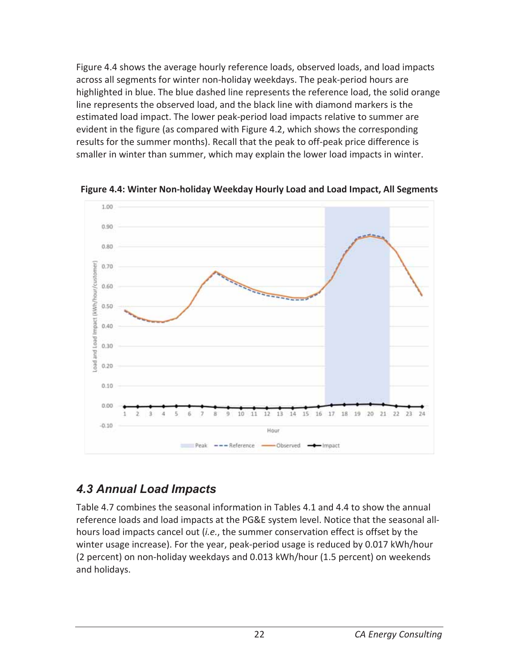Figure 4.4 shows the average hourly reference loads, observed loads, and load impacts across all segments for winter non-holiday weekdays. The peak-period hours are highlighted in blue. The blue dashed line represents the reference load, the solid orange line represents the observed load, and the black line with diamond markers is the estimated load impact. The lower peak-period load impacts relative to summer are evident in the figure (as compared with Figure 4.2, which shows the corresponding results for the summer months). Recall that the peak to off-peak price difference is smaller in winter than summer, which may explain the lower load impacts in winter.



**Figure 4.4: Winter Non-holiday Weekday Hourly Load and Load Impact, All Segments** 

### *4.3 Annual Load Impacts*

Table 4.7 combines the seasonal information in Tables 4.1 and 4.4 to show the annual reference loads and load impacts at the PG&E system level. Notice that the seasonal allhours load impacts cancel out (*i.e.*, the summer conservation effect is offset by the winter usage increase). For the year, peak-period usage is reduced by 0.017 kWh/hour (2 percent) on non-holiday weekdays and 0.013 kWh/hour (1.5 percent) on weekends and holidays.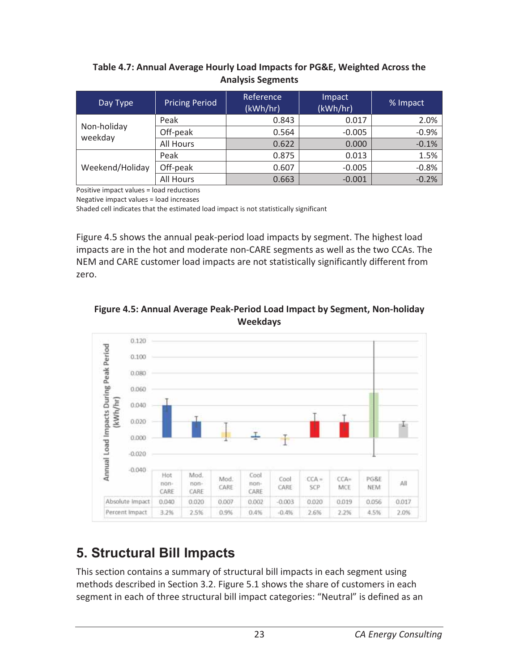### **Table 4.7: Annual Average Hourly Load Impacts for PG&E, Weighted Across the Analysis Segments**

| Day Type        | <b>Pricing Period</b> | Reference<br>(kWh/hr) | Impact<br>(kWh/hr) | % Impact |
|-----------------|-----------------------|-----------------------|--------------------|----------|
| Non-holiday     | Peak                  | 0.843                 | 0.017              | 2.0%     |
| weekday         | Off-peak              | 0.564                 | $-0.005$           | $-0.9%$  |
|                 | All Hours             | 0.622                 | 0.000              | $-0.1%$  |
|                 | Peak                  | 0.875                 | 0.013              | 1.5%     |
| Weekend/Holiday | Off-peak              | 0.607                 | $-0.005$           | $-0.8%$  |
|                 | All Hours             | 0.663                 | $-0.001$           | $-0.2%$  |

Positive impact values = load reductions

Negative impact values = load increases

Shaded cell indicates that the estimated load impact is not statistically significant

Figure 4.5 shows the annual peak-period load impacts by segment. The highest load impacts are in the hot and moderate non-CARE segments as well as the two CCAs. The NEM and CARE customer load impacts are not statistically significantly different from zero.





### **5. Structural Bill Impacts**

This section contains a summary of structural bill impacts in each segment using methods described in Section 3.2. Figure 5.1 shows the share of customers in each segment in each of three structural bill impact categories: "Neutral" is defined as an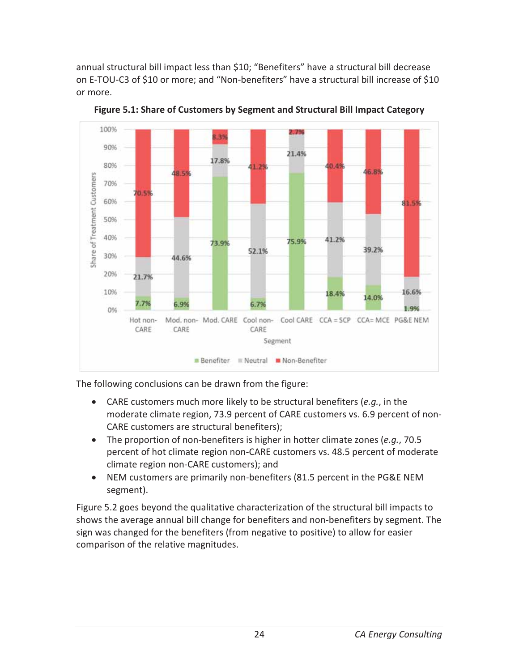annual structural bill impact less than \$10; "Benefiters" have a structural bill decrease on E-TOU-C3 of \$10 or more; and "Non-benefiters" have a structural bill increase of \$10 or more.



**Figure 5.1: Share of Customers by Segment and Structural Bill Impact Category** 

The following conclusions can be drawn from the figure:

- x CARE customers much more likely to be structural benefiters (*e.g.*, in the moderate climate region, 73.9 percent of CARE customers vs. 6.9 percent of non-CARE customers are structural benefiters);
- The proportion of non-benefiters is higher in hotter climate zones (*e.g.*, 70.5) percent of hot climate region non-CARE customers vs. 48.5 percent of moderate climate region non-CARE customers); and
- NEM customers are primarily non-benefiters (81.5 percent in the PG&E NEM segment).

Figure 5.2 goes beyond the qualitative characterization of the structural bill impacts to shows the average annual bill change for benefiters and non-benefiters by segment. The sign was changed for the benefiters (from negative to positive) to allow for easier comparison of the relative magnitudes.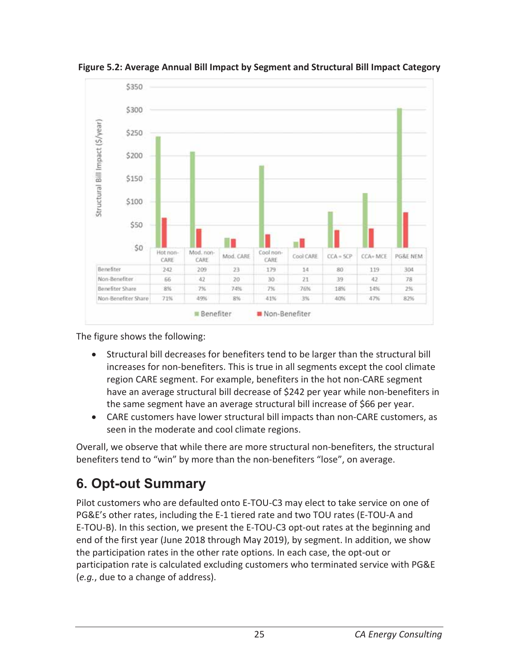

**Figure 5.2: Average Annual Bill Impact by Segment and Structural Bill Impact Category** 

The figure shows the following:

- Structural bill decreases for benefiters tend to be larger than the structural bill increases for non-benefiters. This is true in all segments except the cool climate region CARE segment. For example, benefiters in the hot non-CARE segment have an average structural bill decrease of \$242 per year while non-benefiters in the same segment have an average structural bill increase of \$66 per year.
- CARE customers have lower structural bill impacts than non-CARE customers, as seen in the moderate and cool climate regions.

Overall, we observe that while there are more structural non-benefiters, the structural benefiters tend to "win" by more than the non-benefiters "lose", on average.

# **6. Opt-out Summary**

Pilot customers who are defaulted onto E-TOU-C3 may elect to take service on one of PG&E's other rates, including the E-1 tiered rate and two TOU rates (E-TOU-A and E-TOU-B). In this section, we present the E-TOU-C3 opt-out rates at the beginning and end of the first year (June 2018 through May 2019), by segment. In addition, we show the participation rates in the other rate options. In each case, the opt-out or participation rate is calculated excluding customers who terminated service with PG&E (*e.g.*, due to a change of address).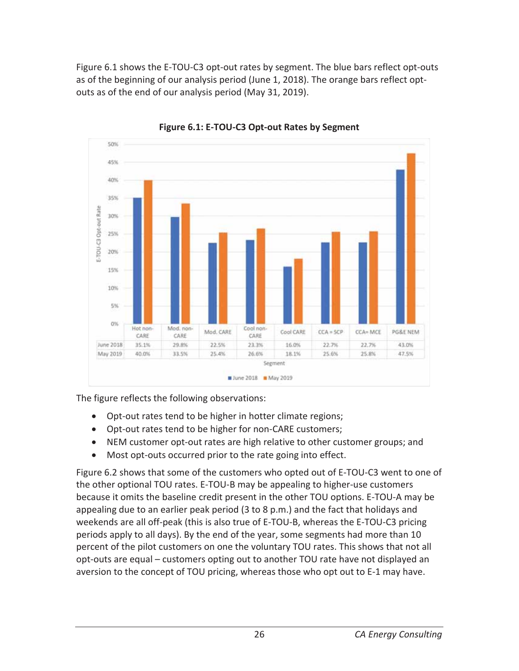Figure 6.1 shows the E-TOU-C3 opt-out rates by segment. The blue bars reflect opt-outs as of the beginning of our analysis period (June 1, 2018). The orange bars reflect optouts as of the end of our analysis period (May 31, 2019).



**Figure 6.1: E-TOU-C3 Opt-out Rates by Segment** 

The figure reflects the following observations:

- Opt-out rates tend to be higher in hotter climate regions;
- Opt-out rates tend to be higher for non-CARE customers;
- NEM customer opt-out rates are high relative to other customer groups; and
- Most opt-outs occurred prior to the rate going into effect.

Figure 6.2 shows that some of the customers who opted out of E-TOU-C3 went to one of the other optional TOU rates. E-TOU-B may be appealing to higher-use customers because it omits the baseline credit present in the other TOU options. E-TOU-A may be appealing due to an earlier peak period (3 to 8 p.m.) and the fact that holidays and weekends are all off-peak (this is also true of E-TOU-B, whereas the E-TOU-C3 pricing periods apply to all days). By the end of the year, some segments had more than 10 percent of the pilot customers on one the voluntary TOU rates. This shows that not all opt-outs are equal – customers opting out to another TOU rate have not displayed an aversion to the concept of TOU pricing, whereas those who opt out to E-1 may have.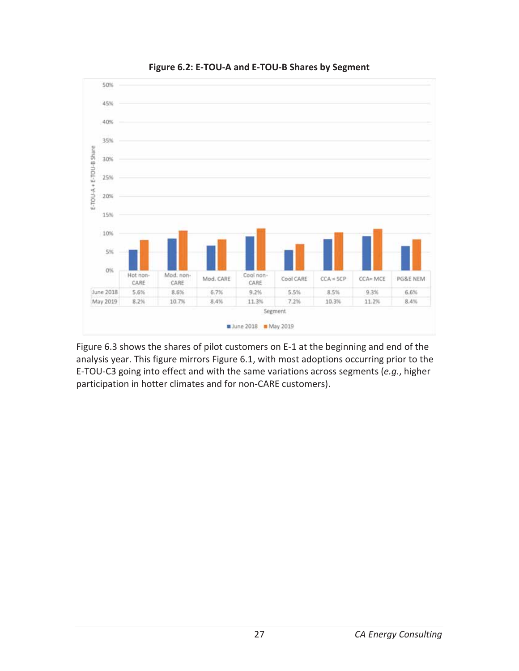

**Figure 6.2: E-TOU-A and E-TOU-B Shares by Segment** 

Figure 6.3 shows the shares of pilot customers on E-1 at the beginning and end of the analysis year. This figure mirrors Figure 6.1, with most adoptions occurring prior to the E-TOU-C3 going into effect and with the same variations across segments (*e.g.*, higher participation in hotter climates and for non-CARE customers).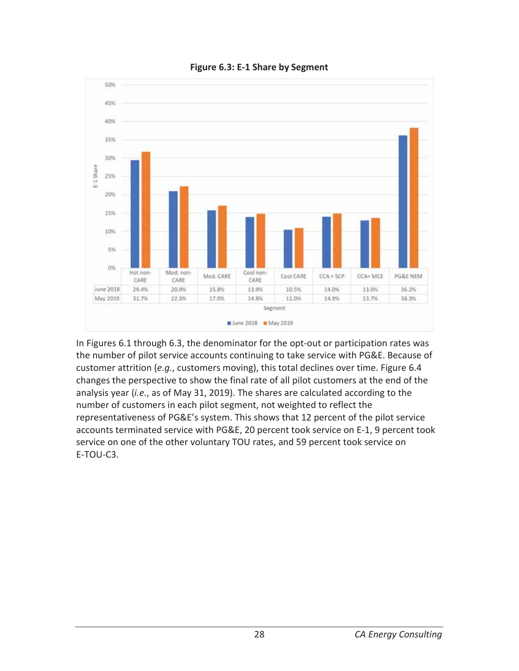

**Figure 6.3: E-1 Share by Segment** 

In Figures 6.1 through 6.3, the denominator for the opt-out or participation rates was the number of pilot service accounts continuing to take service with PG&E. Because of customer attrition (*e.g.*, customers moving), this total declines over time. Figure 6.4 changes the perspective to show the final rate of all pilot customers at the end of the analysis year (*i.e.*, as of May 31, 2019). The shares are calculated according to the number of customers in each pilot segment, not weighted to reflect the representativeness of PG&E's system. This shows that 12 percent of the pilot service accounts terminated service with PG&E, 20 percent took service on E-1, 9 percent took service on one of the other voluntary TOU rates, and 59 percent took service on E-TOU-C3.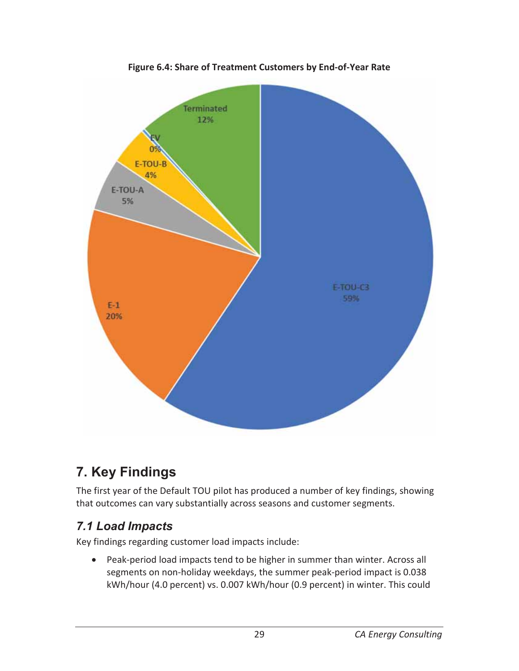

**Figure 6.4: Share of Treatment Customers by End-of-Year Rate** 

# **7. Key Findings**

The first year of the Default TOU pilot has produced a number of key findings, showing that outcomes can vary substantially across seasons and customer segments.

### *7.1 Load Impacts*

Key findings regarding customer load impacts include:

• Peak-period load impacts tend to be higher in summer than winter. Across all segments on non-holiday weekdays, the summer peak-period impact is 0.038 kWh/hour (4.0 percent) vs. 0.007 kWh/hour (0.9 percent) in winter. This could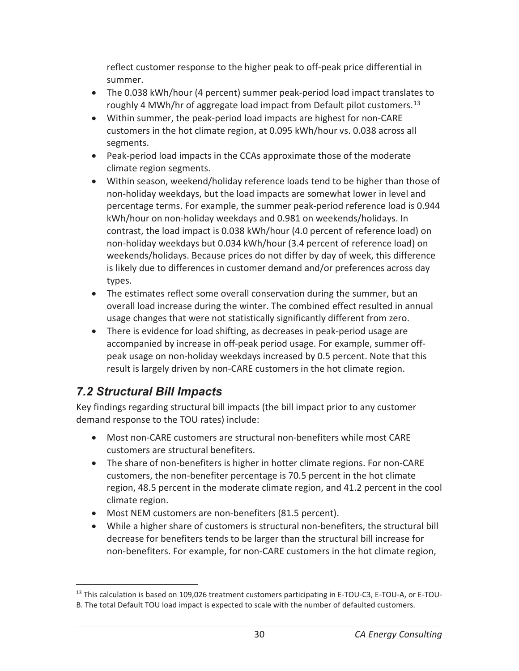reflect customer response to the higher peak to off-peak price differential in summer.

- The 0.038 kWh/hour (4 percent) summer peak-period load impact translates to roughly 4 MWh/hr of aggregate load impact from Default pilot customers.<sup>13</sup>
- Within summer, the peak-period load impacts are highest for non-CARE customers in the hot climate region, at 0.095 kWh/hour vs. 0.038 across all segments.
- Peak-period load impacts in the CCAs approximate those of the moderate climate region segments.
- Within season, weekend/holiday reference loads tend to be higher than those of non-holiday weekdays, but the load impacts are somewhat lower in level and percentage terms. For example, the summer peak-period reference load is 0.944 kWh/hour on non-holiday weekdays and 0.981 on weekends/holidays. In contrast, the load impact is 0.038 kWh/hour (4.0 percent of reference load) on non-holiday weekdays but 0.034 kWh/hour (3.4 percent of reference load) on weekends/holidays. Because prices do not differ by day of week, this difference is likely due to differences in customer demand and/or preferences across day types.
- The estimates reflect some overall conservation during the summer, but an overall load increase during the winter. The combined effect resulted in annual usage changes that were not statistically significantly different from zero.
- There is evidence for load shifting, as decreases in peak-period usage are accompanied by increase in off-peak period usage. For example, summer offpeak usage on non-holiday weekdays increased by 0.5 percent. Note that this result is largely driven by non-CARE customers in the hot climate region.

### *7.2 Structural Bill Impacts*

 $\overline{a}$ 

Key findings regarding structural bill impacts (the bill impact prior to any customer demand response to the TOU rates) include:

- Most non-CARE customers are structural non-benefiters while most CARE customers are structural benefiters.
- The share of non-benefiters is higher in hotter climate regions. For non-CARE customers, the non-benefiter percentage is 70.5 percent in the hot climate region, 48.5 percent in the moderate climate region, and 41.2 percent in the cool climate region.
- Most NEM customers are non-benefiters (81.5 percent).
- While a higher share of customers is structural non-benefiters, the structural bill decrease for benefiters tends to be larger than the structural bill increase for non-benefiters. For example, for non-CARE customers in the hot climate region,

<sup>&</sup>lt;sup>13</sup> This calculation is based on 109,026 treatment customers participating in E-TOU-C3, E-TOU-A, or E-TOU-B. The total Default TOU load impact is expected to scale with the number of defaulted customers.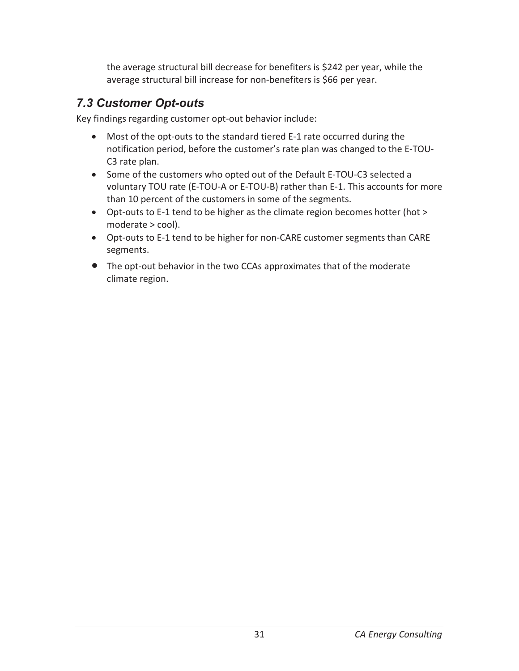the average structural bill decrease for benefiters is \$242 per year, while the average structural bill increase for non-benefiters is \$66 per year.

### *7.3 Customer Opt-outs*

Key findings regarding customer opt-out behavior include:

- Most of the opt-outs to the standard tiered E-1 rate occurred during the notification period, before the customer's rate plan was changed to the E-TOU-C3 rate plan.
- Some of the customers who opted out of the Default E-TOU-C3 selected a voluntary TOU rate (E-TOU-A or E-TOU-B) rather than E-1. This accounts for more than 10 percent of the customers in some of the segments.
- Opt-outs to E-1 tend to be higher as the climate region becomes hotter (hot > moderate > cool).
- Opt-outs to E-1 tend to be higher for non-CARE customer segments than CARE segments.
- The opt-out behavior in the two CCAs approximates that of the moderate climate region.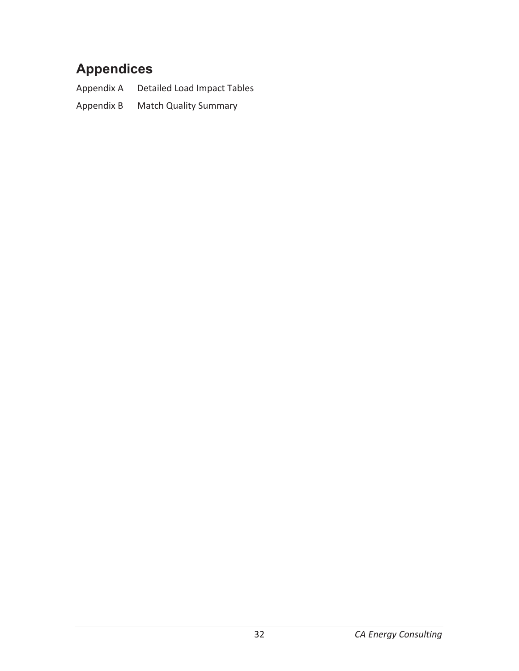# **Appendices**

Appendix A Detailed Load Impact Tables Appendix B Match Quality Summary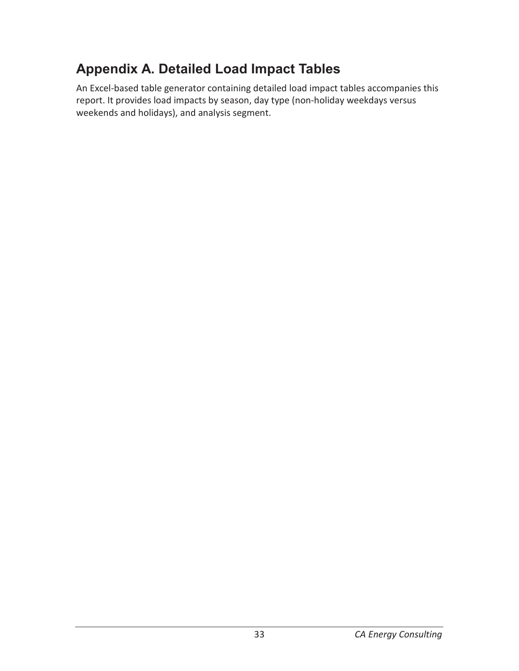# **Appendix A. Detailed Load Impact Tables**

An Excel-based table generator containing detailed load impact tables accompanies this report. It provides load impacts by season, day type (non-holiday weekdays versus weekends and holidays), and analysis segment.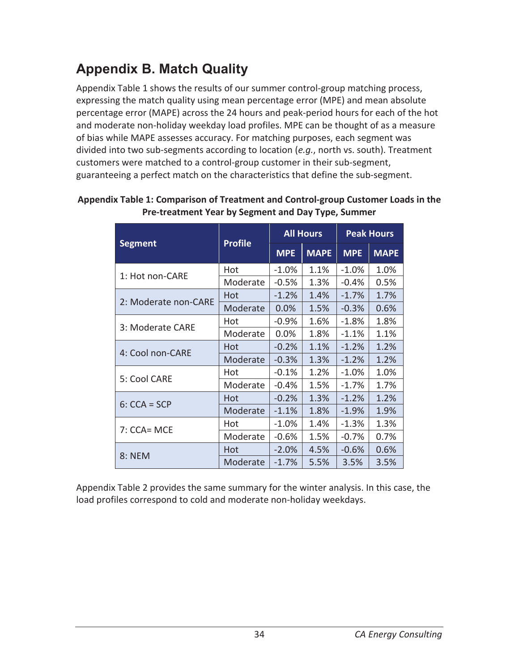# **Appendix B. Match Quality**

Appendix Table 1 shows the results of our summer control-group matching process, expressing the match quality using mean percentage error (MPE) and mean absolute percentage error (MAPE) across the 24 hours and peak-period hours for each of the hot and moderate non-holiday weekday load profiles. MPE can be thought of as a measure of bias while MAPE assesses accuracy. For matching purposes, each segment was divided into two sub-segments according to location (*e.g.*, north vs. south). Treatment customers were matched to a control-group customer in their sub-segment, guaranteeing a perfect match on the characteristics that define the sub-segment.

|                      |                |            | <b>All Hours</b> |            | <b>Peak Hours</b> |
|----------------------|----------------|------------|------------------|------------|-------------------|
| <b>Segment</b>       | <b>Profile</b> | <b>MPE</b> | <b>MAPE</b>      | <b>MPE</b> | <b>MAPE</b>       |
| 1: Hot non-CARE      | Hot            | $-1.0%$    | 1.1%             | $-1.0%$    | 1.0%              |
|                      | Moderate       | $-0.5%$    | 1.3%             | $-0.4%$    | 0.5%              |
| 2: Moderate non-CARE | Hot            | $-1.2%$    | 1.4%             | $-1.7%$    | 1.7%              |
|                      | Moderate       | 0.0%       | 1.5%             | $-0.3%$    | 0.6%              |
| 3: Moderate CARE     | Hot            | $-0.9%$    | 1.6%             | $-1.8%$    | 1.8%              |
|                      | Moderate       | 0.0%       | 1.8%             | $-1.1%$    | 1.1%              |
| 4: Cool non-CARE     | Hot            | $-0.2%$    | 1.1%             | $-1.2%$    | 1.2%              |
|                      | Moderate       | $-0.3%$    | 1.3%             | $-1.2%$    | 1.2%              |
| 5: Cool CARE         | Hot            | $-0.1%$    | 1.2%             | $-1.0%$    | 1.0%              |
|                      | Moderate       | $-0.4%$    | 1.5%             | $-1.7%$    | 1.7%              |
|                      | Hot            | $-0.2%$    | 1.3%             | $-1.2%$    | 1.2%              |
| $6: CCA = SCP$       | Moderate       | $-1.1%$    | 1.8%             | $-1.9%$    | 1.9%              |
| 7: CCA= MCE          | Hot            | $-1.0%$    | 1.4%             | $-1.3%$    | 1.3%              |
|                      | Moderate       | $-0.6%$    | 1.5%             | $-0.7%$    | $0.7\%$           |
| 8: NEM               | Hot            | $-2.0%$    | 4.5%             | $-0.6%$    | 0.6%              |
|                      | Moderate       | $-1.7%$    | 5.5%             | 3.5%       | 3.5%              |

| Appendix Table 1: Comparison of Treatment and Control-group Customer Loads in the |
|-----------------------------------------------------------------------------------|
| Pre-treatment Year by Segment and Day Type, Summer                                |

Appendix Table 2 provides the same summary for the winter analysis. In this case, the load profiles correspond to cold and moderate non-holiday weekdays.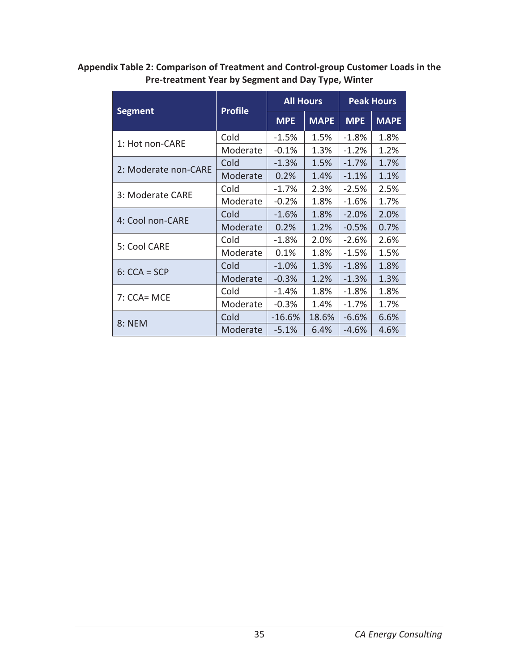### **Appendix Table 2: Comparison of Treatment and Control-group Customer Loads in the Pre-treatment Year by Segment and Day Type, Winter**

|                      | <b>Profile</b> | <b>All Hours</b> |             |            | <b>Peak Hours</b> |
|----------------------|----------------|------------------|-------------|------------|-------------------|
| <b>Segment</b>       |                | <b>MPE</b>       | <b>MAPE</b> | <b>MPE</b> | <b>MAPE</b>       |
| 1: Hot non-CARE      | Cold           | $-1.5%$          | 1.5%        | $-1.8%$    | 1.8%              |
|                      | Moderate       | $-0.1%$          | 1.3%        | $-1.2%$    | 1.2%              |
| 2: Moderate non-CARE | Cold           | $-1.3%$          | 1.5%        | $-1.7%$    | 1.7%              |
|                      | Moderate       | 0.2%             | 1.4%        | $-1.1%$    | 1.1%              |
| 3: Moderate CARE     | Cold           | $-1.7%$          | 2.3%        | $-2.5%$    | 2.5%              |
|                      | Moderate       | $-0.2%$          | 1.8%        | $-1.6%$    | 1.7%              |
|                      | Cold           | $-1.6%$          | 1.8%        | $-2.0%$    | 2.0%              |
| 4: Cool non-CARE     | Moderate       | 0.2%             | 1.2%        | $-0.5%$    | 0.7%              |
| 5: Cool CARE         | Cold           | $-1.8%$          | 2.0%        | $-2.6%$    | 2.6%              |
|                      | Moderate       | 0.1%             | 1.8%        | $-1.5%$    | 1.5%              |
| $6: CCA = SCP$       | Cold           | $-1.0%$          | 1.3%        | $-1.8%$    | 1.8%              |
|                      | Moderate       | $-0.3%$          | 1.2%        | $-1.3%$    | 1.3%              |
|                      | Cold           | $-1.4%$          | 1.8%        | $-1.8%$    | 1.8%              |
| 7: CCA= MCE          | Moderate       | $-0.3%$          | 1.4%        | $-1.7%$    | 1.7%              |
| 8: NEM               | Cold           | $-16.6%$         | 18.6%       | $-6.6%$    | 6.6%              |
|                      | Moderate       | $-5.1%$          | 6.4%        | $-4.6%$    | 4.6%              |